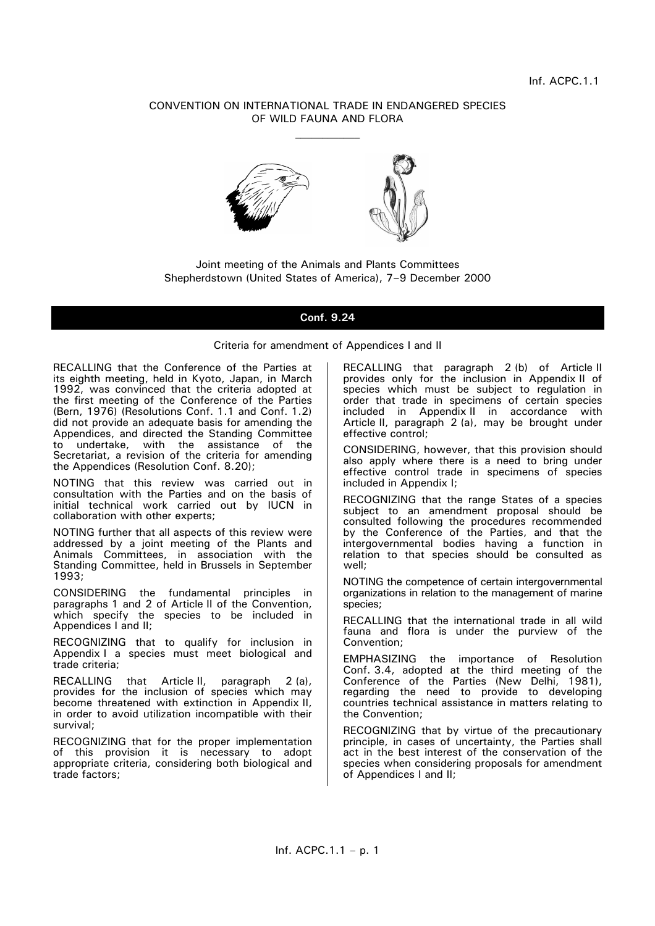# CONVENTION ON INTERNATIONAL TRADE IN ENDANGERED SPECIES OF WILD FAUNA AND FLORA  $\mathcal{L}_\text{max}$



Joint meeting of the Animals and Plants Committees Shepherdstown (United States of America), 7–9 December 2000

# **Conf. 9.24**

Criteria for amendment of Appendices I and II

RECALLING that the Conference of the Parties at its eighth meeting, held in Kyoto, Japan, in March 1992, was convinced that the criteria adopted at the first meeting of the Conference of the Parties (Bern, 1976) (Resolutions Conf. 1.1 and Conf. 1.2) did not provide an adequate basis for amending the Appendices, and directed the Standing Committee to undertake, with the assistance of the Secretariat, a revision of the criteria for amending the Appendices (Resolution Conf. 8.20);

NOTING that this review was carried out in consultation with the Parties and on the basis of initial technical work carried out by IUCN in collaboration with other experts;

NOTING further that all aspects of this review were addressed by a joint meeting of the Plants and Animals Committees, in association with the Standing Committee, held in Brussels in September 1993;

CONSIDERING the fundamental principles in paragraphs 1 and 2 of Article II of the Convention, which specify the species to be included in Appendices I and II;

RECOGNIZING that to qualify for inclusion in Appendix I a species must meet biological and trade criteria;

RECALLING that Article II, paragraph 2 (a), provides for the inclusion of species which may become threatened with extinction in Appendix II, in order to avoid utilization incompatible with their survival;

RECOGNIZING that for the proper implementation of this provision it is necessary to adopt appropriate criteria, considering both biological and trade factors;

RECALLING that paragraph 2 (b) of Article II provides only for the inclusion in Appendix II of species which must be subject to regulation in order that trade in specimens of certain species included in Appendix II in accordance with Article II, paragraph 2 (a), may be brought under effective control;

CONSIDERING, however, that this provision should also apply where there is a need to bring under effective control trade in specimens of species included in Appendix I;

RECOGNIZING that the range States of a species subject to an amendment proposal should be consulted following the procedures recommended by the Conference of the Parties, and that the intergovernmental bodies having a function in relation to that species should be consulted as well;

NOTING the competence of certain intergovernmental organizations in relation to the management of marine species;

RECALLING that the international trade in all wild fauna and flora is under the purview of the Convention;

EMPHASIZING the importance of Resolution Conf. 3.4, adopted at the third meeting of the Conference of the Parties (New Delhi, 1981), regarding the need to provide to developing countries technical assistance in matters relating to the Convention;

RECOGNIZING that by virtue of the precautionary principle, in cases of uncertainty, the Parties shall act in the best interest of the conservation of the species when considering proposals for amendment of Appendices I and II;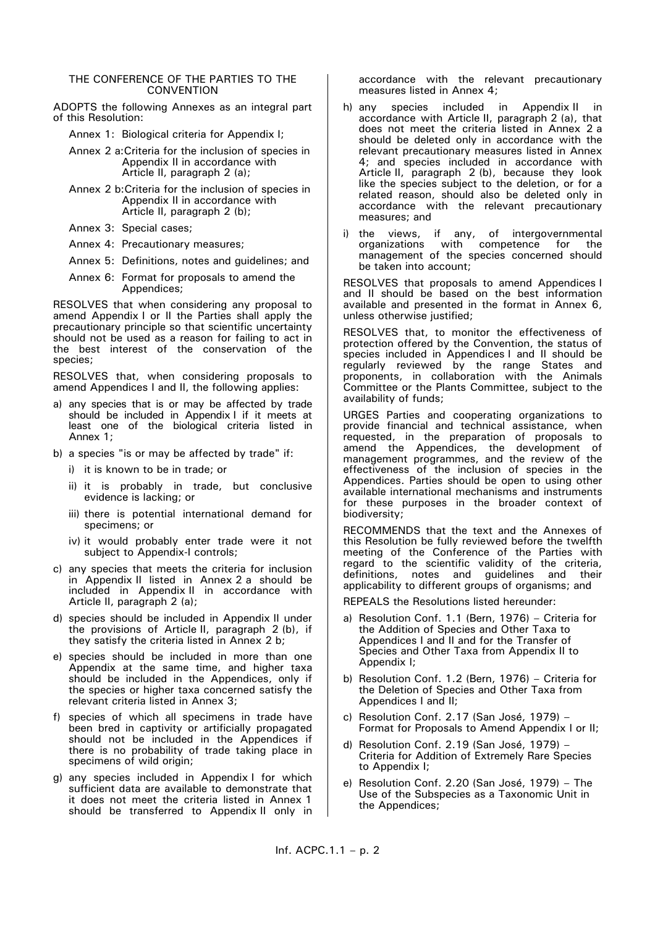#### THE CONFERENCE OF THE PARTIES TO THE **CONVENTION**

ADOPTS the following Annexes as an integral part of this Resolution:

Annex 1: Biological criteria for Appendix I;

- Annex 2 a:Criteria for the inclusion of species in Appendix II in accordance with Article II, paragraph 2 (a);
- Annex 2 b:Criteria for the inclusion of species in Appendix II in accordance with Article II, paragraph 2 (b);
- Annex 3: Special cases;
- Annex 4: Precautionary measures;
- Annex 5: Definitions, notes and guidelines; and
- Annex 6: Format for proposals to amend the Appendices;

RESOLVES that when considering any proposal to amend Appendix I or II the Parties shall apply the precautionary principle so that scientific uncertainty should not be used as a reason for failing to act in the best interest of the conservation of the species;

RESOLVES that, when considering proposals to amend Appendices I and II, the following applies:

- a) any species that is or may be affected by trade should be included in Appendix I if it meets at least one of the biological criteria listed in Annex 1;
- b) a species "is or may be affected by trade" if:
	- i) it is known to be in trade; or
	- ii) it is probably in trade, but conclusive evidence is lacking; or
	- iii) there is potential international demand for specimens; or
	- iv) it would probably enter trade were it not subject to Appendix-I controls;
- c) any species that meets the criteria for inclusion in Appendix II listed in Annex 2 a should be included in Appendix II in accordance with Article II, paragraph 2 (a);
- d) species should be included in Appendix II under the provisions of Article II, paragraph 2 (b), if they satisfy the criteria listed in Annex 2 b;
- e) species should be included in more than one Appendix at the same time, and higher taxa should be included in the Appendices, only if the species or higher taxa concerned satisfy the relevant criteria listed in Annex 3;
- f) species of which all specimens in trade have been bred in captivity or artificially propagated should not be included in the Appendices if there is no probability of trade taking place in specimens of wild origin;
- g) any species included in Appendix I for which sufficient data are available to demonstrate that it does not meet the criteria listed in Annex 1 should be transferred to Appendix II only in

accordance with the relevant precautionary measures listed in Annex 4;

- h) any species included in Appendix II in accordance with Article II, paragraph 2 (a), that does not meet the criteria listed in Annex 2 a should be deleted only in accordance with the relevant precautionary measures listed in Annex 4; and species included in accordance with Article II, paragraph 2 (b), because they look like the species subject to the deletion, or for a related reason, should also be deleted only in accordance with the relevant precautionary measures; and
- i) the views, if any, of intergovernmental organizations with competence for the management of the species concerned should be taken into account;

RESOLVES that proposals to amend Appendices I and II should be based on the best information available and presented in the format in Annex 6, unless otherwise justified;

RESOLVES that, to monitor the effectiveness of protection offered by the Convention, the status of species included in Appendices I and II should be regularly reviewed by the range States and proponents, in collaboration with the Animals Committee or the Plants Committee, subject to the availability of funds;

URGES Parties and cooperating organizations to provide financial and technical assistance, when requested, in the preparation of proposals to amend the Appendices, the development of management programmes, and the review of the effectiveness of the inclusion of species in the Appendices. Parties should be open to using other available international mechanisms and instruments for these purposes in the broader context of biodiversity;

RECOMMENDS that the text and the Annexes of this Resolution be fully reviewed before the twelfth meeting of the Conference of the Parties with regard to the scientific validity of the criteria, definitions, notes and guidelines and their applicability to different groups of organisms; and

REPEALS the Resolutions listed hereunder:

- a) Resolution Conf. 1.1 (Bern, 1976) Criteria for the Addition of Species and Other Taxa to Appendices I and II and for the Transfer of Species and Other Taxa from Appendix II to Appendix I;
- b) Resolution Conf. 1.2 (Bern, 1976) Criteria for the Deletion of Species and Other Taxa from Appendices I and II;
- c) Resolution Conf. 2.17 (San José, 1979) Format for Proposals to Amend Appendix I or II;
- d) Resolution Conf. 2.19 (San José, 1979) Criteria for Addition of Extremely Rare Species to Appendix I;
- e) Resolution Conf. 2.20 (San José, 1979) The Use of the Subspecies as a Taxonomic Unit in the Appendices;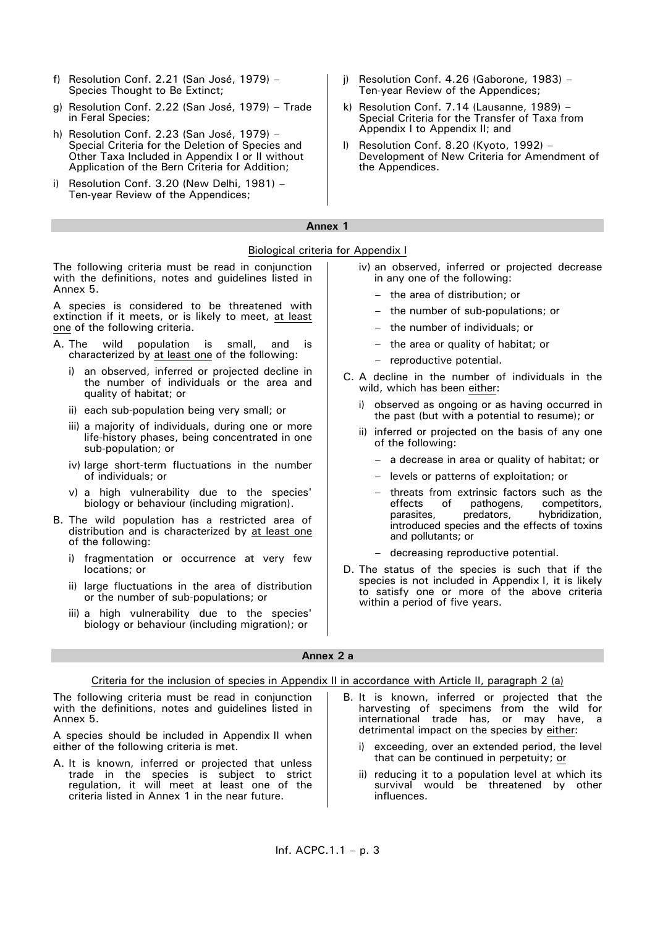- f) Resolution Conf. 2.21 (San José, 1979) Species Thought to Be Extinct;
- g) Resolution Conf. 2.22 (San José, 1979) Trade in Feral Species;
- h) Resolution Conf. 2.23 (San José, 1979) Special Criteria for the Deletion of Species and Other Taxa Included in Appendix I or II without Application of the Bern Criteria for Addition;
- i) Resolution Conf. 3.20 (New Delhi, 1981) Ten-year Review of the Appendices;
- j) Resolution Conf. 4.26 (Gaborone, 1983) Ten-year Review of the Appendices;
- k) Resolution Conf. 7.14 (Lausanne, 1989) Special Criteria for the Transfer of Taxa from Appendix I to Appendix II; and
- l) Resolution Conf. 8.20 (Kyoto, 1992) Development of New Criteria for Amendment of the Appendices.

# **Annex 1**

Biological criteria for Appendix I The following criteria must be read in conjunction with the definitions, notes and guidelines listed in Annex 5. A species is considered to be threatened with extinction if it meets, or is likely to meet, at least one of the following criteria. A. The wild population is small, and is characterized by at least one of the following: i) an observed, inferred or projected decline in the number of individuals or the area and quality of habitat; or ii) each sub-population being very small; or iii) a majority of individuals, during one or more life-history phases, being concentrated in one sub-population; or iv) large short-term fluctuations in the number of individuals; or v) a high vulnerability due to the species' biology or behaviour (including migration). B. The wild population has a restricted area of distribution and is characterized by at least one of the following: i) fragmentation or occurrence at very few locations; or ii) large fluctuations in the area of distribution or the number of sub-populations; or iii) a high vulnerability due to the species' biology or behaviour (including migration); or iv) an observed, inferred or projected decrease in any one of the following: the area of distribution; or – the number of sub-populations; or – the number of individuals; or – the area or quality of habitat; or – reproductive potential. C. A decline in the number of individuals in the wild, which has been either: observed as ongoing or as having occurred in the past (but with a potential to resume); or ii) inferred or projected on the basis of any one of the following: – a decrease in area or quality of habitat; or – levels or patterns of exploitation; or threats from extrinsic factors such as the effects of pathogens. competitors. of pathogens, parasites, predators, hybridization, introduced species and the effects of toxins and pollutants; or decreasing reproductive potential. D. The status of the species is such that if the species is not included in Appendix I, it is likely to satisfy one or more of the above criteria within a period of five years. **Annex 2 a** Criteria for the inclusion of species in Appendix II in accordance with Article II, paragraph 2 (a) B. It is known, inferred or projected that the

The following criteria must be read in conjunction with the definitions, notes and guidelines listed in Annex 5.

A species should be included in Appendix II when either of the following criteria is met.

- A. It is known, inferred or projected that unless trade in the species is subject to strict regulation, it will meet at least one of the criteria listed in Annex 1 in the near future.
- harvesting of specimens from the wild for international trade has, or may have, a detrimental impact on the species by either:
	- i) exceeding, over an extended period, the level that can be continued in perpetuity; or
	- ii) reducing it to a population level at which its survival would be threatened by other influences.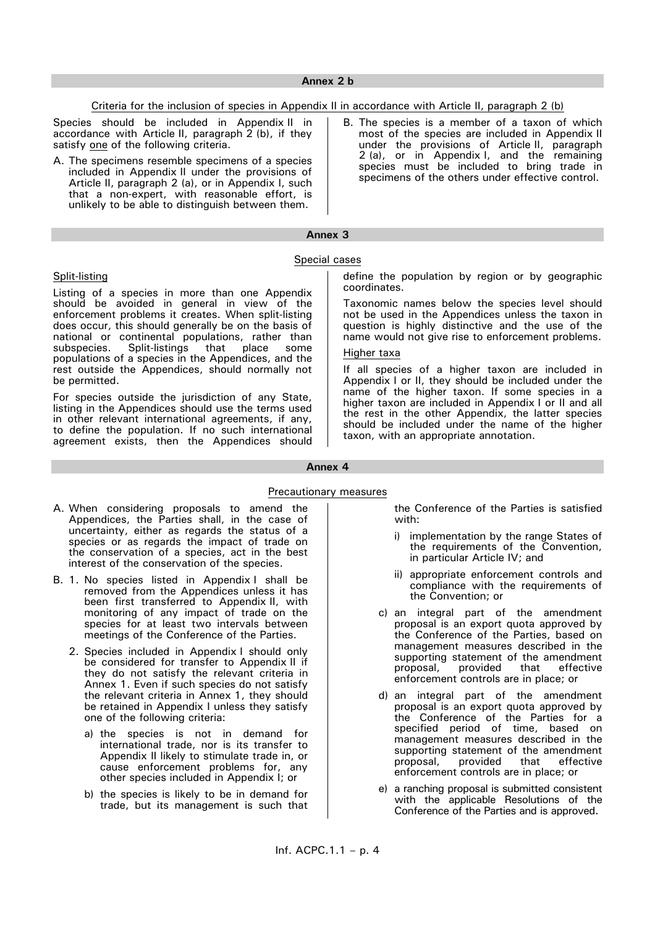### Criteria for the inclusion of species in Appendix II in accordance with Article II, paragraph 2 (b)

Species should be included in Appendix II in accordance with Article II, paragraph 2 (b), if they satisfy one of the following criteria.

- A. The specimens resemble specimens of a species included in Appendix II under the provisions of Article II, paragraph 2 (a), or in Appendix I, such that a non-expert, with reasonable effort, is unlikely to be able to distinguish between them.
- B. The species is a member of a taxon of which most of the species are included in Appendix II under the provisions of Article II, paragraph 2 (a), or in Appendix I, and the remaining species must be included to bring trade in specimens of the others under effective control.

# **Annex 3**

#### Special cases

# Split-listing

Listing of a species in more than one Appendix should be avoided in general in view of the enforcement problems it creates. When split-listing does occur, this should generally be on the basis of national or continental populations, rather than subspecies. Split-listings that place some populations of a species in the Appendices, and the rest outside the Appendices, should normally not be permitted.

For species outside the jurisdiction of any State, listing in the Appendices should use the terms used in other relevant international agreements, if any, to define the population. If no such international agreement exists, then the Appendices should define the population by region or by geographic coordinates.

Taxonomic names below the species level should not be used in the Appendices unless the taxon in question is highly distinctive and the use of the name would not give rise to enforcement problems.

## Higher taxa

If all species of a higher taxon are included in Appendix I or II, they should be included under the name of the higher taxon. If some species in a higher taxon are included in Appendix I or II and all the rest in the other Appendix, the latter species should be included under the name of the higher taxon, with an appropriate annotation.

#### **Annex 4**

#### Precautionary measures

- A. When considering proposals to amend the Appendices, the Parties shall, in the case of uncertainty, either as regards the status of a species or as regards the impact of trade on the conservation of a species, act in the best interest of the conservation of the species.
- B. 1. No species listed in Appendix I shall be removed from the Appendices unless it has been first transferred to Appendix II, with monitoring of any impact of trade on the species for at least two intervals between meetings of the Conference of the Parties.
	- 2. Species included in Appendix I should only be considered for transfer to Appendix II if they do not satisfy the relevant criteria in Annex 1. Even if such species do not satisfy the relevant criteria in Annex 1, they should be retained in Appendix I unless they satisfy one of the following criteria:
		- a) the species is not in demand for international trade, nor is its transfer to Appendix II likely to stimulate trade in, or cause enforcement problems for, any other species included in Appendix I; or
		- b) the species is likely to be in demand for trade, but its management is such that

the Conference of the Parties is satisfied with:

- i) implementation by the range States of the requirements of the Convention, in particular Article IV; and
- ii) appropriate enforcement controls and compliance with the requirements of the Convention; or
- c) an integral part of the amendment proposal is an export quota approved by the Conference of the Parties, based on management measures described in the supporting statement of the amendment<br>proposal, provided that effective provided enforcement controls are in place; or
- d) an integral part of the amendment proposal is an export quota approved by the Conference of the Parties for a specified period of time, based on management measures described in the supporting statement of the amendment<br>proposal, provided that effective provided enforcement controls are in place; or
- e) a ranching proposal is submitted consistent with the applicable Resolutions of the Conference of the Parties and is approved.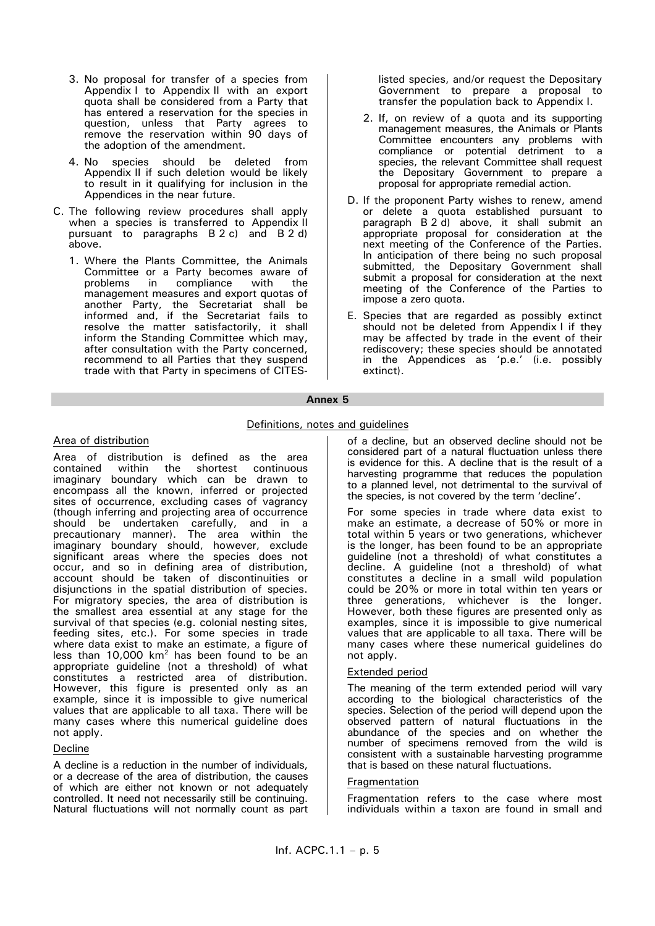- 3. No proposal for transfer of a species from Appendix I to Appendix II with an export quota shall be considered from a Party that has entered a reservation for the species in question, unless that Party agrees to remove the reservation within 90 days of the adoption of the amendment.
- 4. No species should be deleted from Appendix II if such deletion would be likely to result in it qualifying for inclusion in the Appendices in the near future.
- C. The following review procedures shall apply when a species is transferred to Appendix II pursuant to paragraphs B 2 c) and B 2 d) above.
	- 1. Where the Plants Committee, the Animals Committee or a Party becomes aware of problems in compliance with the management measures and export quotas of another Party, the Secretariat shall be informed and, if the Secretariat fails to resolve the matter satisfactorily, it shall inform the Standing Committee which may, after consultation with the Party concerned, recommend to all Parties that they suspend trade with that Party in specimens of CITES-

listed species, and/or request the Depositary Government to prepare a proposal to transfer the population back to Appendix I.

- 2. If, on review of a quota and its supporting management measures, the Animals or Plants Committee encounters any problems with compliance or potential detriment to a species, the relevant Committee shall request the Depositary Government to prepare a proposal for appropriate remedial action.
- D. If the proponent Party wishes to renew, amend or delete a quota established pursuant to paragraph B 2 d) above, it shall submit an appropriate proposal for consideration at the next meeting of the Conference of the Parties. In anticipation of there being no such proposal submitted, the Depositary Government shall submit a proposal for consideration at the next meeting of the Conference of the Parties to impose a zero quota.
- E. Species that are regarded as possibly extinct should not be deleted from Appendix I if they may be affected by trade in the event of their rediscovery; these species should be annotated in the Appendices as 'p.e.' (i.e. possibly extinct).

### **Annex 5**

# Definitions, notes and guidelines

# Area of distribution

Area of distribution is defined as the area<br>contained within the shortest continuous shortest continuous imaginary boundary which can be drawn to encompass all the known, inferred or projected sites of occurrence, excluding cases of vagrancy (though inferring and projecting area of occurrence should be undertaken carefully, and in a precautionary manner). The area within the imaginary boundary should, however, exclude significant areas where the species does not occur, and so in defining area of distribution, account should be taken of discontinuities or disjunctions in the spatial distribution of species. For migratory species, the area of distribution is the smallest area essential at any stage for the survival of that species (e.g. colonial nesting sites, feeding sites, etc.). For some species in trade where data exist to make an estimate, a figure of less than 10,000  $km^2$  has been found to be an appropriate guideline (not a threshold) of what constitutes a restricted area of distribution. However, this figure is presented only as an example, since it is impossible to give numerical values that are applicable to all taxa. There will be many cases where this numerical guideline does not apply.

# Decline

A decline is a reduction in the number of individuals, or a decrease of the area of distribution, the causes of which are either not known or not adequately controlled. It need not necessarily still be continuing. Natural fluctuations will not normally count as part of a decline, but an observed decline should not be considered part of a natural fluctuation unless there is evidence for this. A decline that is the result of a harvesting programme that reduces the population to a planned level, not detrimental to the survival of the species, is not covered by the term 'decline'.

For some species in trade where data exist to make an estimate, a decrease of 50% or more in total within 5 years or two generations, whichever is the longer, has been found to be an appropriate guideline (not a threshold) of what constitutes a decline. A guideline (not a threshold) of what constitutes a decline in a small wild population could be 20% or more in total within ten years or three generations, whichever is the longer. However, both these figures are presented only as examples, since it is impossible to give numerical values that are applicable to all taxa. There will be many cases where these numerical guidelines do not apply.

### Extended period

The meaning of the term extended period will vary according to the biological characteristics of the species. Selection of the period will depend upon the observed pattern of natural fluctuations in the abundance of the species and on whether the number of specimens removed from the wild is consistent with a sustainable harvesting programme that is based on these natural fluctuations.

#### Fragmentation

Fragmentation refers to the case where most individuals within a taxon are found in small and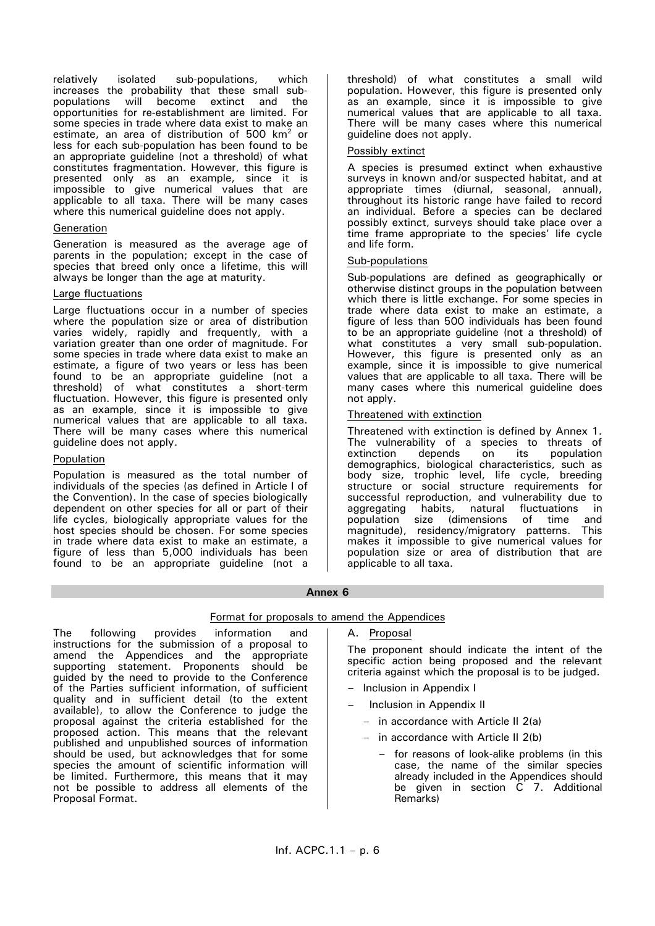relatively isolated sub-populations, which increases the probability that these small subpopulations will become extinct and the opportunities for re-establishment are limited. For some species in trade where data exist to make an estimate, an area of distribution of 500  $km^2$  or less for each sub-population has been found to be an appropriate guideline (not a threshold) of what constitutes fragmentation. However, this figure is presented only as an example, since it is impossible to give numerical values that are applicable to all taxa. There will be many cases where this numerical guideline does not apply.

## Generation

Generation is measured as the average age of parents in the population; except in the case of species that breed only once a lifetime, this will always be longer than the age at maturity.

## Large fluctuations

Large fluctuations occur in a number of species where the population size or area of distribution varies widely, rapidly and frequently, with a variation greater than one order of magnitude. For some species in trade where data exist to make an estimate, a figure of two years or less has been found to be an appropriate guideline (not a threshold) of what constitutes a short-term fluctuation. However, this figure is presented only as an example, since it is impossible to give numerical values that are applicable to all taxa. There will be many cases where this numerical guideline does not apply.

## Population

Proposal Format.

Population is measured as the total number of individuals of the species (as defined in Article I of the Convention). In the case of species biologically dependent on other species for all or part of their life cycles, biologically appropriate values for the host species should be chosen. For some species in trade where data exist to make an estimate, a figure of less than 5,000 individuals has been found to be an appropriate guideline (not a

The following provides information and instructions for the submission of a proposal to amend the Appendices and the appropriate supporting statement. Proponents should be guided by the need to provide to the Conference of the Parties sufficient information, of sufficient quality and in sufficient detail (to the extent available), to allow the Conference to judge the proposal against the criteria established for the proposed action. This means that the relevant published and unpublished sources of information should be used, but acknowledges that for some species the amount of scientific information will be limited. Furthermore, this means that it may not be possible to address all elements of the

threshold) of what constitutes a small wild population. However, this figure is presented only as an example, since it is impossible to give numerical values that are applicable to all taxa. There will be many cases where this numerical guideline does not apply.

# Possibly extinct

A species is presumed extinct when exhaustive surveys in known and/or suspected habitat, and at appropriate times (diurnal, seasonal, annual), throughout its historic range have failed to record an individual. Before a species can be declared possibly extinct, surveys should take place over a time frame appropriate to the species' life cycle and life form.

#### Sub-populations

Sub-populations are defined as geographically or otherwise distinct groups in the population between which there is little exchange. For some species in trade where data exist to make an estimate, a figure of less than 500 individuals has been found to be an appropriate guideline (not a threshold) of what constitutes a very small sub-population. However, this figure is presented only as an example, since it is impossible to give numerical values that are applicable to all taxa. There will be many cases where this numerical guideline does not apply.

#### Threatened with extinction

Threatened with extinction is defined by Annex 1. The vulnerability of a species to threats of extinction depends on its population extinction depends on its population demographics, biological characteristics, such as body size, trophic level, life cycle, breeding structure or social structure requirements for successful reproduction, and vulnerability due to aggregating habits, natural fluctuations in population size (dimensions of time and magnitude), residency/migratory patterns. This makes it impossible to give numerical values for population size or area of distribution that are applicable to all taxa.

#### **Annex 6**

# Format for proposals to amend the Appendices

A. Proposal

The proponent should indicate the intent of the specific action being proposed and the relevant criteria against which the proposal is to be judged.

- Inclusion in Appendix I
- Inclusion in Appendix II
	- in accordance with Article II 2(a)
	- in accordance with Article II 2(b)
		- for reasons of look-alike problems (in this case, the name of the similar species already included in the Appendices should be given in section C 7. Additional Remarks)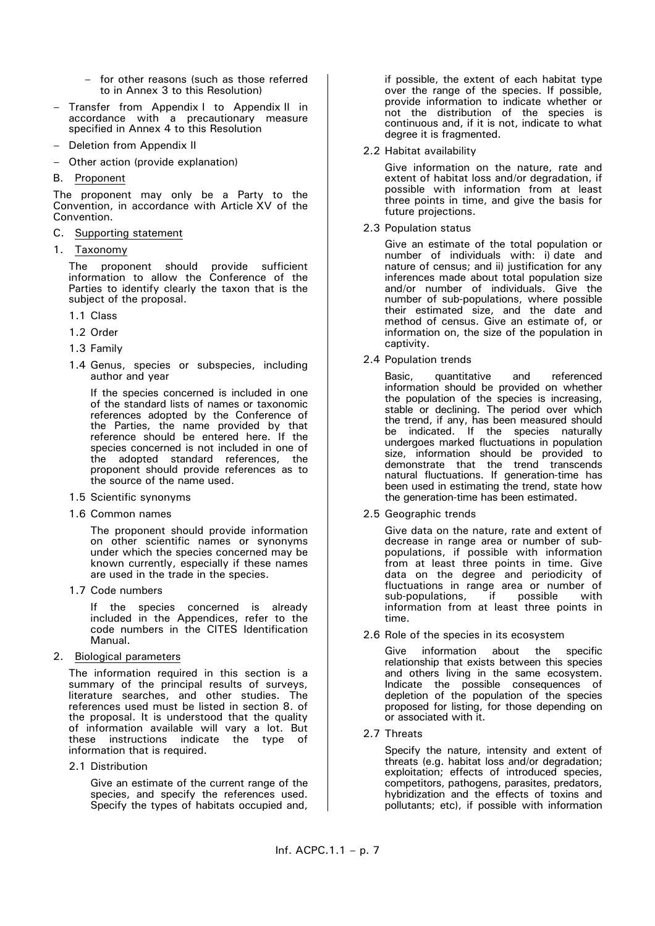- for other reasons (such as those referred to in Annex 3 to this Resolution)
- Transfer from Appendix I to Appendix II in accordance with a precautionary measure specified in Annex 4 to this Resolution
- Deletion from Appendix II
- Other action (provide explanation)
- B. Proponent

The proponent may only be a Party to the Convention, in accordance with Article XV of the Convention.

- C. Supporting statement
- 1. Taxonomy

The proponent should provide sufficient information to allow the Conference of the Parties to identify clearly the taxon that is the subject of the proposal.

- 1.1 Class
- 1.2 Order
- 1.3 Family
- 1.4 Genus, species or subspecies, including author and year

If the species concerned is included in one of the standard lists of names or taxonomic references adopted by the Conference of the Parties, the name provided by that reference should be entered here. If the species concerned is not included in one of the adopted standard references, the proponent should provide references as to the source of the name used.

- 1.5 Scientific synonyms
- 1.6 Common names

The proponent should provide information on other scientific names or synonyms under which the species concerned may be known currently, especially if these names are used in the trade in the species.

1.7 Code numbers

If the species concerned is already included in the Appendices, refer to the code numbers in the CITES Identification Manual.

2. Biological parameters

The information required in this section is a summary of the principal results of surveys, literature searches, and other studies. The references used must be listed in section 8. of the proposal. It is understood that the quality of information available will vary a lot. But these instructions indicate the type of information that is required.

2.1 Distribution

Give an estimate of the current range of the species, and specify the references used. Specify the types of habitats occupied and, if possible, the extent of each habitat type over the range of the species. If possible, provide information to indicate whether or not the distribution of the species is continuous and, if it is not, indicate to what degree it is fragmented.

2.2 Habitat availability

Give information on the nature, rate and extent of habitat loss and/or degradation, if possible with information from at least three points in time, and give the basis for future projections.

2.3 Population status

Give an estimate of the total population or number of individuals with: i) date and nature of census; and ii) justification for any inferences made about total population size and/or number of individuals. Give the number of sub-populations, where possible their estimated size, and the date and method of census. Give an estimate of, or information on, the size of the population in captivity.

2.4 Population trends

Basic, quantitative and referenced information should be provided on whether the population of the species is increasing, stable or declining. The period over which the trend, if any, has been measured should be indicated. If the species naturally undergoes marked fluctuations in population size, information should be provided to demonstrate that the trend transcends natural fluctuations. If generation-time has been used in estimating the trend, state how the generation-time has been estimated.

2.5 Geographic trends

Give data on the nature, rate and extent of decrease in range area or number of subpopulations, if possible with information from at least three points in time. Give data on the degree and periodicity of fluctuations in range area or number of sub-populations, if possible with information from at least three points in time.

2.6 Role of the species in its ecosystem

Give information about the specific relationship that exists between this species and others living in the same ecosystem. Indicate the possible consequences of depletion of the population of the species proposed for listing, for those depending on or associated with it.

2.7 Threats

Specify the nature, intensity and extent of threats (e.g. habitat loss and/or degradation; exploitation; effects of introduced species, competitors, pathogens, parasites, predators, hybridization and the effects of toxins and pollutants; etc), if possible with information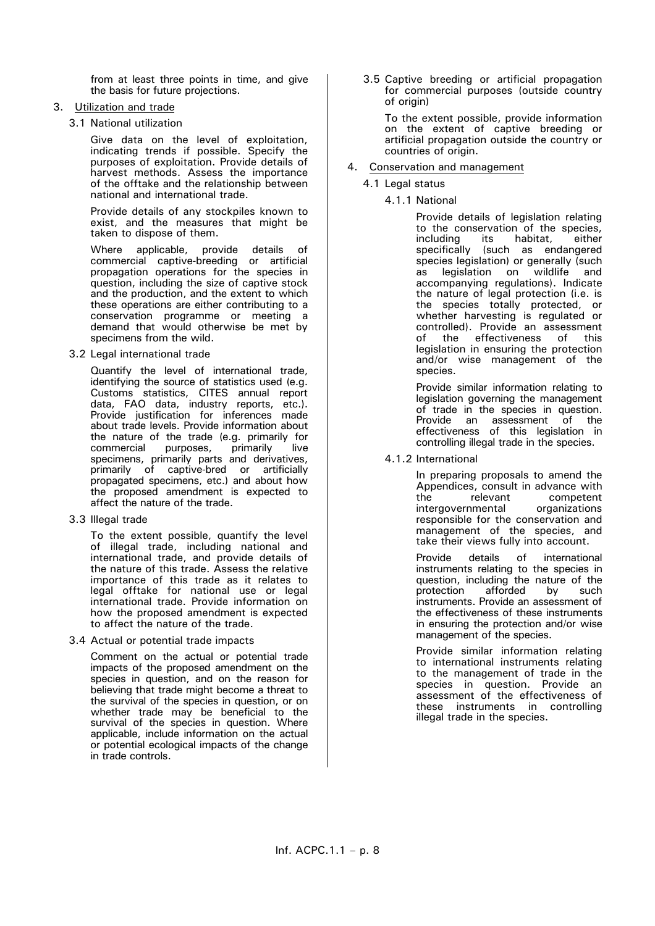from at least three points in time, and give the basis for future projections.

# 3. Utilization and trade

3.1 National utilization

Give data on the level of exploitation, indicating trends if possible. Specify the purposes of exploitation. Provide details of harvest methods. Assess the importance of the offtake and the relationship between national and international trade.

Provide details of any stockpiles known to exist, and the measures that might be taken to dispose of them.

Where applicable, provide details of commercial captive-breeding or artificial propagation operations for the species in question, including the size of captive stock and the production, and the extent to which these operations are either contributing to a conservation programme or meeting a demand that would otherwise be met by specimens from the wild.

3.2 Legal international trade

Quantify the level of international trade, identifying the source of statistics used (e.g. Customs statistics, CITES annual report data, FAO data, industry reports, etc.). Provide justification for inferences made about trade levels. Provide information about the nature of the trade (e.g. primarily for<br>commercial purposes, primarily live commercial purposes, primarily live specimens, primarily parts and derivatives, primarily of captive-bred or artificially propagated specimens, etc.) and about how the proposed amendment is expected to affect the nature of the trade.

3.3 Illegal trade

To the extent possible, quantify the level of illegal trade, including national and international trade, and provide details of the nature of this trade. Assess the relative importance of this trade as it relates to legal offtake for national use or legal international trade. Provide information on how the proposed amendment is expected to affect the nature of the trade.

3.4 Actual or potential trade impacts

Comment on the actual or potential trade impacts of the proposed amendment on the species in question, and on the reason for believing that trade might become a threat to the survival of the species in question, or on whether trade may be beneficial to the survival of the species in question. Where applicable, include information on the actual or potential ecological impacts of the change in trade controls.

3.5 Captive breeding or artificial propagation for commercial purposes (outside country of origin)

To the extent possible, provide information on the extent of captive breeding or artificial propagation outside the country or countries of origin.

- 4. Conservation and management
	- 4.1 Legal status
		- 4.1.1 National

Provide details of legislation relating to the conservation of the species, including its habitat, either specifically (such as endangered species legislation) or generally (such<br>as legislation on wildlife and legislation on wildlife accompanying regulations). Indicate the nature of legal protection (i.e. is the species totally protected, or whether harvesting is regulated or controlled). Provide an assessment of the effectiveness of this legislation in ensuring the protection and/or wise management of the species.

Provide similar information relating to legislation governing the management of trade in the species in question.<br>Provide an assessment of the Provide an assessment effectiveness of this legislation in controlling illegal trade in the species.

4.1.2 International

In preparing proposals to amend the Appendices, consult in advance with<br>the relevant competent competent intergovernmental organizations responsible for the conservation and management of the species, and take their views fully into account.

Provide details of international instruments relating to the species in question, including the nature of the protection afforded by such instruments. Provide an assessment of the effectiveness of these instruments in ensuring the protection and/or wise management of the species.

Provide similar information relating to international instruments relating to the management of trade in the species in question. Provide an assessment of the effectiveness of these instruments in controlling illegal trade in the species.